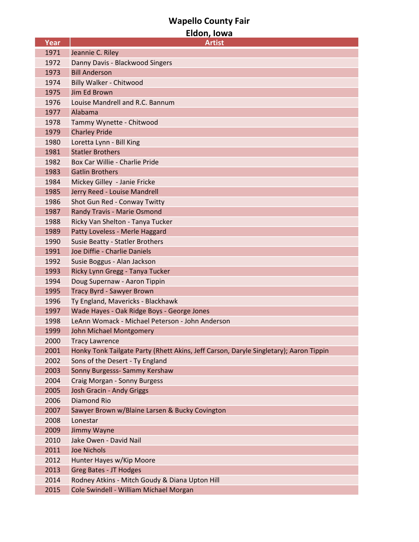## **Wapello County Fair**

| Eldon, Iowa  |                                                                                                                |  |
|--------------|----------------------------------------------------------------------------------------------------------------|--|
| <b>Year</b>  | <b>Artist</b>                                                                                                  |  |
| 1971         | Jeannie C. Riley                                                                                               |  |
| 1972         | Danny Davis - Blackwood Singers                                                                                |  |
| 1973         | <b>Bill Anderson</b>                                                                                           |  |
| 1974         | <b>Billy Walker - Chitwood</b>                                                                                 |  |
| 1975         | Jim Ed Brown                                                                                                   |  |
| 1976         | Louise Mandrell and R.C. Bannum                                                                                |  |
| 1977         | Alabama                                                                                                        |  |
| 1978         | Tammy Wynette - Chitwood                                                                                       |  |
| 1979         | <b>Charley Pride</b>                                                                                           |  |
| 1980         | Loretta Lynn - Bill King                                                                                       |  |
| 1981         | <b>Statler Brothers</b>                                                                                        |  |
| 1982         | Box Car Willie - Charlie Pride                                                                                 |  |
| 1983         | <b>Gatlin Brothers</b>                                                                                         |  |
| 1984         | Mickey Gilley - Janie Fricke                                                                                   |  |
| 1985         | Jerry Reed - Louise Mandrell                                                                                   |  |
| 1986         | Shot Gun Red - Conway Twitty                                                                                   |  |
| 1987         | <b>Randy Travis - Marie Osmond</b>                                                                             |  |
| 1988         | Ricky Van Shelton - Tanya Tucker                                                                               |  |
| 1989         | Patty Loveless - Merle Haggard                                                                                 |  |
| 1990         | Susie Beatty - Statler Brothers                                                                                |  |
| 1991         | Joe Diffie - Charlie Daniels                                                                                   |  |
| 1992         | Susie Boggus - Alan Jackson                                                                                    |  |
| 1993         | Ricky Lynn Gregg - Tanya Tucker                                                                                |  |
| 1994         | Doug Supernaw - Aaron Tippin                                                                                   |  |
| 1995         | Tracy Byrd - Sawyer Brown                                                                                      |  |
| 1996         | Ty England, Mavericks - Blackhawk                                                                              |  |
| 1997         | Wade Hayes - Oak Ridge Boys - George Jones<br>LeAnn Womack - Michael Peterson - John Anderson                  |  |
| 1998         |                                                                                                                |  |
| 1999<br>2000 | <b>John Michael Montgomery</b>                                                                                 |  |
| 2001         | <b>Tracy Lawrence</b><br>Honky Tonk Tailgate Party (Rhett Akins, Jeff Carson, Daryle Singletary); Aaron Tippin |  |
| 2002         | Sons of the Desert - Ty England                                                                                |  |
| 2003         | Sonny Burgesss- Sammy Kershaw                                                                                  |  |
| 2004         | Craig Morgan - Sonny Burgess                                                                                   |  |
| 2005         | Josh Gracin - Andy Griggs                                                                                      |  |
| 2006         | <b>Diamond Rio</b>                                                                                             |  |
| 2007         | Sawyer Brown w/Blaine Larsen & Bucky Covington                                                                 |  |
| 2008         | Lonestar                                                                                                       |  |
| 2009         | Jimmy Wayne                                                                                                    |  |
| 2010         | Jake Owen - David Nail                                                                                         |  |
| 2011         | <b>Joe Nichols</b>                                                                                             |  |
| 2012         | Hunter Hayes w/Kip Moore                                                                                       |  |
| 2013         | <b>Greg Bates - JT Hodges</b>                                                                                  |  |
| 2014         | Rodney Atkins - Mitch Goudy & Diana Upton Hill                                                                 |  |
| 2015         | Cole Swindell - William Michael Morgan                                                                         |  |